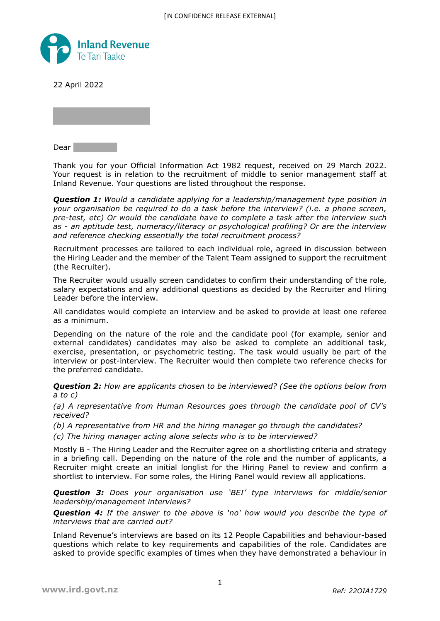

22 April 2022

Dear **Dear** 

Thank you for your Official Information Act 1982 request, received on 29 March 2022. Your request is in relation to the recruitment of middle to senior management staff at Inland Revenue. Your questions are listed throughout the response.

*Question 1: Would a candidate applying for a leadership/management type position in your organisation be required to do a task before the interview? (i.e. a phone screen, pre-test, etc) Or would the candidate have to complete a task after the interview such as - an aptitude test, numeracy/literacy or psychological profiling? Or are the interview and reference checking essentially the total recruitment process?*

Recruitment processes are tailored to each individual role, agreed in discussion between the Hiring Leader and the member of the Talent Team assigned to support the recruitment (the Recruiter).

The Recruiter would usually screen candidates to confirm their understanding of the role, salary expectations and any additional questions as decided by the Recruiter and Hiring Leader before the interview.

All candidates would complete an interview and be asked to provide at least one referee as a minimum.

Depending on the nature of the role and the candidate pool (for example, senior and external candidates) candidates may also be asked to complete an additional task, exercise, presentation, or psychometric testing. The task would usually be part of the interview or post-interview. The Recruiter would then complete two reference checks for the preferred candidate.

*Question 2: How are applicants chosen to be interviewed? (See the options below from a to c)*

*(a) A representative from Human Resources goes through the candidate pool of CV's received?*

*(b) A representative from HR and the hiring manager go through the candidates?*

*(c) The hiring manager acting alone selects who is to be interviewed?*

Mostly B - The Hiring Leader and the Recruiter agree on a shortlisting criteria and strategy in a briefing call. Depending on the nature of the role and the number of applicants, a Recruiter might create an initial longlist for the Hiring Panel to review and confirm a shortlist to interview. For some roles, the Hiring Panel would review all applications.

*Question 3: Does your organisation use 'BEI' type interviews for middle/senior leadership/management interviews?*

*Question 4: If the answer to the above is 'no' how would you describe the type of interviews that are carried out?*

Inland Revenue's interviews are based on its 12 People Capabilities and behaviour-based questions which relate to key requirements and capabilities of the role. Candidates are asked to provide specific examples of times when they have demonstrated a behaviour in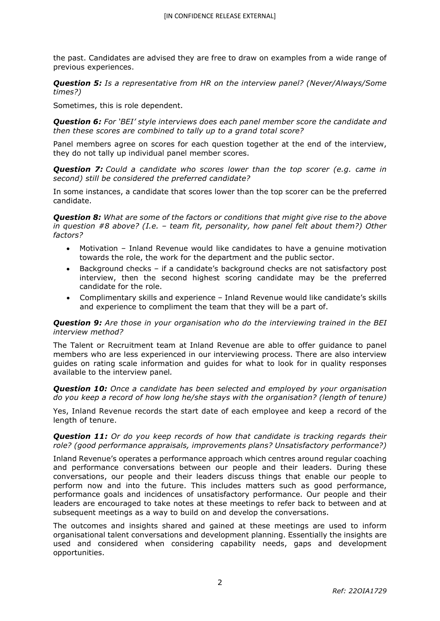the past. Candidates are advised they are free to draw on examples from a wide range of previous experiences.

*Question 5: Is a representative from HR on the interview panel? (Never/Always/Some times?)*

Sometimes, this is role dependent.

*Question 6: For 'BEI' style interviews does each panel member score the candidate and then these scores are combined to tally up to a grand total score?*

Panel members agree on scores for each question together at the end of the interview, they do not tally up individual panel member scores.

*Question 7: Could a candidate who scores lower than the top scorer (e.g. came in second) still be considered the preferred candidate?*

In some instances, a candidate that scores lower than the top scorer can be the preferred candidate.

*Question 8: What are some of the factors or conditions that might give rise to the above in question #8 above? (I.e. – team fit, personality, how panel felt about them?) Other factors?*

- Motivation Inland Revenue would like candidates to have a genuine motivation towards the role, the work for the department and the public sector.
- Background checks if a candidate's background checks are not satisfactory post interview, then the second highest scoring candidate may be the preferred candidate for the role.
- Complimentary skills and experience Inland Revenue would like candidate's skills and experience to compliment the team that they will be a part of.

## *Question 9: Are those in your organisation who do the interviewing trained in the BEI interview method?*

The Talent or Recruitment team at Inland Revenue are able to offer guidance to panel members who are less experienced in our interviewing process. There are also interview guides on rating scale information and guides for what to look for in quality responses available to the interview panel*.* 

*Question 10: Once a candidate has been selected and employed by your organisation do you keep a record of how long he/she stays with the organisation? (length of tenure)*

Yes, Inland Revenue records the start date of each employee and keep a record of the length of tenure.

## *Question 11: Or do you keep records of how that candidate is tracking regards their role? (good performance appraisals, improvements plans? Unsatisfactory performance?)*

Inland Revenue's operates a performance approach which centres around regular coaching and performance conversations between our people and their leaders. During these conversations, our people and their leaders discuss things that enable our people to perform now and into the future. This includes matters such as good performance, performance goals and incidences of unsatisfactory performance. Our people and their leaders are encouraged to take notes at these meetings to refer back to between and at subsequent meetings as a way to build on and develop the conversations.

The outcomes and insights shared and gained at these meetings are used to inform organisational talent conversations and development planning. Essentially the insights are used and considered when considering capability needs, gaps and development opportunities.